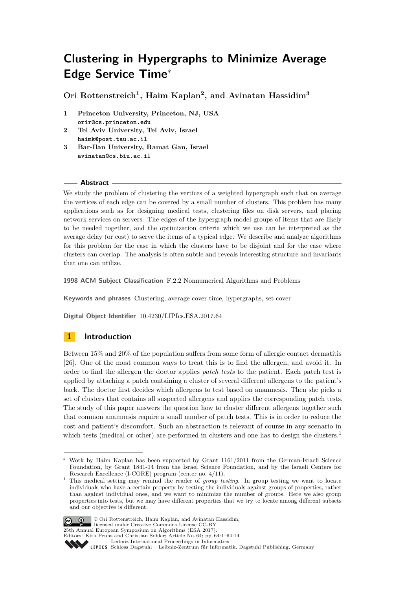# **Clustering in Hypergraphs to Minimize Average Edge Service Time**<sup>∗</sup>

**Ori Rottenstreich<sup>1</sup> , Haim Kaplan<sup>2</sup> , and Avinatan Hassidim<sup>3</sup>**

- **1 Princeton University, Princeton, NJ, USA orir@cs.princeton.edu**
- **2 Tel Aviv University, Tel Aviv, Israel haimk@post.tau.ac.il**
- **3 Bar-Ilan University, Ramat Gan, Israel avinatan@cs.biu.ac.il**

# **Abstract**

We study the problem of clustering the vertices of a weighted hypergraph such that on average the vertices of each edge can be covered by a small number of clusters. This problem has many applications such as for designing medical tests, clustering files on disk servers, and placing network services on servers. The edges of the hypergraph model groups of items that are likely to be needed together, and the optimization criteria which we use can be interpreted as the average delay (or cost) to serve the items of a typical edge. We describe and analyze algorithms for this problem for the case in which the clusters have to be disjoint and for the case where clusters can overlap. The analysis is often subtle and reveals interesting structure and invariants that one can utilize.

**1998 ACM Subject Classification** F.2.2 Nonnumerical Algorithms and Problems

**Keywords and phrases** Clustering, average cover time, hypergraphs, set cover

**Digital Object Identifier** [10.4230/LIPIcs.ESA.2017.64](http://dx.doi.org/10.4230/LIPIcs.ESA.2017.64)

# **1 Introduction**

Between 15% and 20% of the population suffers from some form of allergic contact dermatitis [\[26\]](#page-13-0). One of the most common ways to treat this is to find the allergen, and avoid it. In order to find the allergen the doctor applies *patch tests* to the patient. Each patch test is applied by attaching a patch containing a cluster of several different allergens to the patient's back. The doctor first decides which allergens to test based on anamnesis. Then she picks a set of clusters that contains all suspected allergens and applies the corresponding patch tests. The study of this paper answers the question how to cluster different allergens together such that common anamnesis require a small number of patch tests. This is in order to reduce the cost and patient's discomfort. Such an abstraction is relevant of course in any scenario in which tests (medical or other) are performed in clusters and one has to design the clusters.<sup>[1](#page-0-0)</sup>

<span id="page-0-0"></span><sup>1</sup> This medical setting may remind the reader of *group testing*. In group testing we want to locate individuals who have a certain property by testing the individuals against groups of properties, rather than against individual ones, and we want to minimize the number of groups. Here we also group properties into tests, but we may have different properties that we try to locate among different subsets and our objective is different.



© Ori Rottenstreich, Haim Kaplan, and Avinatan Hassidim; licensed under Creative Commons License CC-BY 25th Annual European Symposium on Algorithms (ESA 2017). Editors: Kirk Pruhs and Christian Sohler; Article No. 64; pp. 64:1–64[:14](#page-13-1)

<sup>∗</sup> Work by Haim Kaplan has been supported by Grant 1161/2011 from the German-Israeli Science Foundation, by Grant 1841-14 from the Israel Science Foundation, and by the Israeli Centers for Research Excellence (I-CORE) program (center no. 4/11).

[Leibniz International Proceedings in Informatics](http://www.dagstuhl.de/lipics/)

Leibniz international Froceedings in missimosischer Magstuhl Publishing, Germany<br>LIPICS [Schloss Dagstuhl – Leibniz-Zentrum für Informatik, Dagstuhl Publishing, Germany](http://www.dagstuhl.de)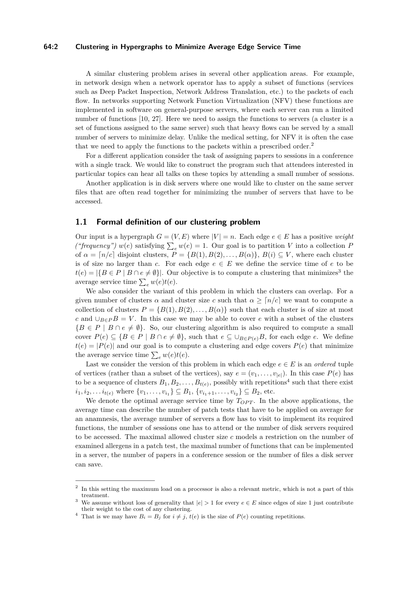### **64:2 Clustering in Hypergraphs to Minimize Average Edge Service Time**

A similar clustering problem arises in several other application areas. For example, in network design when a network operator has to apply a subset of functions (services such as Deep Packet Inspection, Network Address Translation, etc.) to the packets of each flow. In networks supporting Network Function Virtualization (NFV) these functions are implemented in software on general-purpose servers, where each server can run a limited number of functions [\[10,](#page-12-0) [27\]](#page-13-2). Here we need to assign the functions to servers (a cluster is a set of functions assigned to the same server) such that heavy flows can be served by a small number of servers to minimize delay. Unlike the medical setting, for NFV it is often the case that we need to apply the functions to the packets within a prescribed order.<sup>[2](#page-1-0)</sup>

For a different application consider the task of assigning papers to sessions in a conference with a single track. We would like to construct the program such that attendees interested in particular topics can hear all talks on these topics by attending a small number of sessions.

Another application is in disk servers where one would like to cluster on the same server files that are often read together for minimizing the number of servers that have to be accessed.

# **1.1 Formal definition of our clustering problem**

Our input is a hypergraph  $G = (V, E)$  where  $|V| = n$ . Each edge  $e \in E$  has a positive *weight ("frequency")*  $w(e)$  satisfying  $\sum_{e} w(e) = 1$ . Our goal is to partition *V* into a collection *P* of  $\alpha = \lceil n/c \rceil$  disjoint clusters,  $P = \{B(1), B(2), \ldots, B(\alpha)\}, B(i) \subseteq V$ , where each cluster is of size no larger than *c*. For each edge  $e \in E$  we define the service time of *e* to be  $t(e) = |\{B \in P \mid B \cap e \neq \emptyset\}|$ . Our objective is to compute a clustering that minimizes<sup>[3](#page-1-1)</sup> the average service time  $\sum_{e} w(e)t(e)$ .

We also consider the variant of this problem in which the clusters can overlap. For a given number of clusters  $\alpha$  and cluster size  $c$  such that  $\alpha \geq [n/c]$  we want to compute a collection of clusters  $P = \{B(1), B(2), \ldots, B(\alpha)\}\$  such that each cluster is of size at most *c* and  $\cup_{B \in P} B = V$ . In this case we may be able to cover *e* with a subset of the clusters  ${B \in P \mid B \cap e \neq \emptyset}.$  So, our clustering algorithm is also required to compute a small cover  $P(e) \subseteq {B \in P \mid B \cap e \neq \emptyset}$ , such that  $e \subseteq \bigcup_{B \in P(e)} B$ , for each edge *e*. We define  $t(e) = |P(e)|$  and our goal is to compute a clustering and edge covers  $P(e)$  that minimize the average service time  $\sum_{e} w(e)t(e)$ .

Last we consider the version of this problem in which each edge  $e \in E$  is an *ordered* tuple of vertices (rather than a subset of the vertices), say  $e = (v_1, \ldots, v_{|e|})$ . In this case  $P(e)$  has to be a sequence of clusters  $B_1, B_2, \ldots, B_{t(e)}$ , possibly with repetitions<sup>[4](#page-1-2)</sup> such that there exist  $i_1, i_2, \ldots, i_{t(e)}$  where  $\{v_1, \ldots, v_{i_1}\} \subseteq B_1, \{v_{i_1+1}, \ldots, v_{i_2}\} \subseteq B_2$ , etc.

We denote the optimal average service time by  $T_{OPT}$ . In the above applications, the average time can describe the number of patch tests that have to be applied on average for an anamnesis, the average number of servers a flow has to visit to implement its required functions, the number of sessions one has to attend or the number of disk servers required to be accessed. The maximal allowed cluster size *c* models a restriction on the number of examined allergens in a patch test, the maximal number of functions that can be implemented in a server, the number of papers in a conference session or the number of files a disk server can save.

<span id="page-1-0"></span><sup>2</sup> In this setting the maximum load on a processor is also a relevant metric, which is not a part of this treatment.

<span id="page-1-1"></span>We assume without loss of generality that  $|e| > 1$  for every  $e \in E$  since edges of size 1 just contribute their weight to the cost of any clustering.

<span id="page-1-2"></span><sup>&</sup>lt;sup>4</sup> That is we may have  $B_i = B_j$  for  $i \neq j$ ,  $t(e)$  is the size of  $P(e)$  counting repetitions.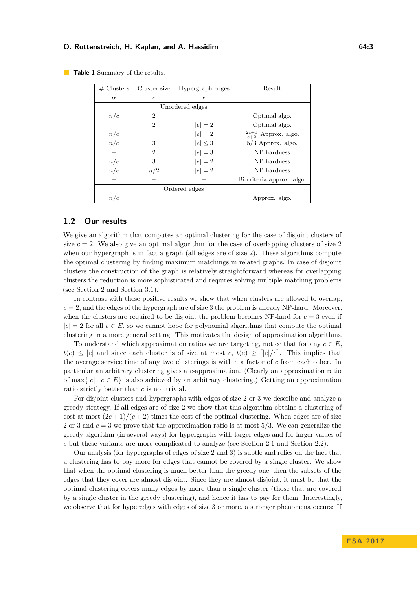| # Clusters      | Cluster size   | Hypergraph edges | Result                           |  |  |  |  |  |
|-----------------|----------------|------------------|----------------------------------|--|--|--|--|--|
| $\alpha$        | $\mathfrak{c}$ | $\epsilon$       |                                  |  |  |  |  |  |
| Unordered edges |                |                  |                                  |  |  |  |  |  |
| n/c             | 2              |                  | Optimal algo.                    |  |  |  |  |  |
|                 | $\overline{2}$ | $ e =2$          | Optimal algo.                    |  |  |  |  |  |
| n/c             |                | $ e =2$          | $\frac{2c+1}{c+2}$ Approx. algo. |  |  |  |  |  |
| n/c             | 3              | $ e  \leq 3$     | $5/3$ Approx. algo.              |  |  |  |  |  |
|                 | $\overline{2}$ | $ e =3$          | NP-hardness                      |  |  |  |  |  |
| n/c             | 3              | $ e =2$          | NP-hardness                      |  |  |  |  |  |
| n/c             | n/2            | $ e =2$          | NP-hardness                      |  |  |  |  |  |
|                 |                |                  | Bi-criteria approx. algo.        |  |  |  |  |  |
| Ordered edges   |                |                  |                                  |  |  |  |  |  |
| n/c             |                |                  | Approx. algo.                    |  |  |  |  |  |

<span id="page-2-0"></span>

|  | <b>Table 1</b> Summary of the results. |  |  |
|--|----------------------------------------|--|--|
|  |                                        |  |  |

# **1.2 Our results**

We give an algorithm that computes an optimal clustering for the case of disjoint clusters of size  $c = 2$ . We also give an optimal algorithm for the case of overlapping clusters of size 2 when our hypergraph is in fact a graph (all edges are of size 2). These algorithms compute the optimal clustering by finding maximum matchings in related graphs. In case of disjoint clusters the construction of the graph is relatively straightforward whereas for overlapping clusters the reduction is more sophisticated and requires solving multiple matching problems (see Section [2](#page-4-0) and Section [3.1\)](#page-7-0).

In contrast with these positive results we show that when clusters are allowed to overlap,  $c = 2$ , and the edges of the hypergraph are of size 3 the problem is already NP-hard. Moreover, when the clusters are required to be disjoint the problem becomes  $NP$ -hard for  $c = 3$  even if  $|e| = 2$  for all  $e \in E$ , so we cannot hope for polynomial algorithms that compute the optimal clustering in a more general setting. This motivates the design of approximation algorithms.

To understand which approximation ratios we are targeting, notice that for any  $e \in E$ ,  $t(e) \leq |e|$  and since each cluster is of size at most *c*,  $t(e) \geq |e|/c$ . This implies that the average service time of any two clusterings is within a factor of *c* from each other. In particular an arbitrary clustering gives a *c*-approximation. (Clearly an approximation ratio of max $\{|e| \, | \, e \in E\}$  is also achieved by an arbitrary clustering.) Getting an approximation ratio strictly better than *c* is not trivial.

For disjoint clusters and hypergraphs with edges of size 2 or 3 we describe and analyze a greedy strategy. If all edges are of size 2 we show that this algorithm obtains a clustering of cost at most  $(2c+1)/(c+2)$  times the cost of the optimal clustering. When edges are of size 2 or 3 and  $c = 3$  we prove that the approximation ratio is at most 5/3. We can generalize the greedy algorithm (in several ways) for hypergraphs with larger edges and for larger values of *c* but these variants are more complicated to analyze (see Section [2.1](#page-4-1) and Section [2.2\)](#page-6-0).

Our analysis (for hypergraphs of edges of size 2 and 3) is subtle and relies on the fact that a clustering has to pay more for edges that cannot be covered by a single cluster. We show that when the optimal clustering is much better than the greedy one, then the subsets of the edges that they cover are almost disjoint. Since they are almost disjoint, it must be that the optimal clustering covers many edges by more than a single cluster (those that are covered by a single cluster in the greedy clustering), and hence it has to pay for them. Interestingly, we observe that for hyperedges with edges of size 3 or more, a stronger phenomena occurs: If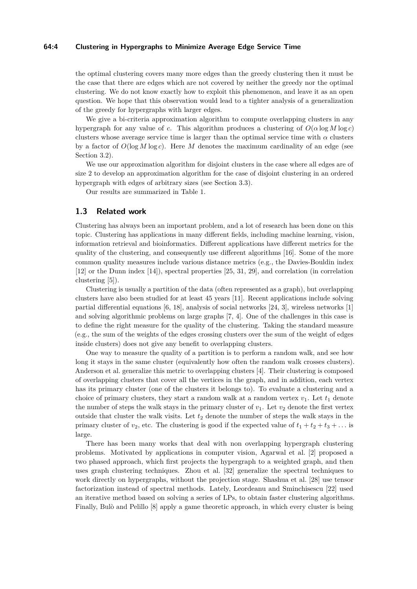## **64:4 Clustering in Hypergraphs to Minimize Average Edge Service Time**

the optimal clustering covers many more edges than the greedy clustering then it must be the case that there are edges which are not covered by neither the greedy nor the optimal clustering. We do not know exactly how to exploit this phenomenon, and leave it as an open question. We hope that this observation would lead to a tighter analysis of a generalization of the greedy for hypergraphs with larger edges.

We give a bi-criteria approximation algorithm to compute overlapping clusters in any hypergraph for any value of *c*. This algorithm produces a clustering of  $O(\alpha \log M \log c)$ clusters whose average service time is larger than the optimal service time with  $\alpha$  clusters by a factor of  $O(\log M \log c)$ . Here M denotes the maximum cardinality of an edge (see Section [3.2\)](#page-9-0).

We use our approximation algorithm for disjoint clusters in the case where all edges are of size 2 to develop an approximation algorithm for the case of disjoint clustering in an ordered hypergraph with edges of arbitrary sizes (see Section [3.3\)](#page-10-0).

Our results are summarized in Table [1.](#page-2-0)

# **1.3 Related work**

Clustering has always been an important problem, and a lot of research has been done on this topic. Clustering has applications in many different fields, including machine learning, vision, information retrieval and bioinformatics. Different applications have different metrics for the quality of the clustering, and consequently use different algorithms [\[16\]](#page-12-1). Some of the more common quality measures include various distance metrics (e.g., the Davies-Bouldin index [\[12\]](#page-12-2) or the Dunn index [\[14\]](#page-12-3)), spectral properties [\[25,](#page-13-3) [31,](#page-13-4) [29\]](#page-13-5), and correlation (in correlation clustering [\[5\]](#page-12-4)).

Clustering is usually a partition of the data (often represented as a graph), but overlapping clusters have also been studied for at least 45 years [\[11\]](#page-12-5). Recent applications include solving partial differential equations [\[6,](#page-12-6) [18\]](#page-12-7), analysis of social networks [\[24,](#page-13-6) [3\]](#page-12-8), wireless networks [\[1\]](#page-12-9) and solving algorithmic problems on large graphs [\[7,](#page-12-10) [4\]](#page-12-11). One of the challenges in this case is to define the right measure for the quality of the clustering. Taking the standard measure (e.g., the sum of the weights of the edges crossing clusters over the sum of the weight of edges inside clusters) does not give any benefit to overlapping clusters.

One way to measure the quality of a partition is to perform a random walk, and see how long it stays in the same cluster (equivalently how often the random walk crosses clusters). Anderson et al. generalize this metric to overlapping clusters [\[4\]](#page-12-11). Their clustering is composed of overlapping clusters that cover all the vertices in the graph, and in addition, each vertex has its primary cluster (one of the clusters it belongs to). To evaluate a clustering and a choice of primary clusters, they start a random walk at a random vertex  $v_1$ . Let  $t_1$  denote the number of steps the walk stays in the primary cluster of  $v_1$ . Let  $v_2$  denote the first vertex outside that cluster the walk visits. Let  $t_2$  denote the number of steps the walk stays in the primary cluster of  $v_2$ , etc. The clustering is good if the expected value of  $t_1 + t_2 + t_3 + \ldots$  is large.

There has been many works that deal with non overlapping hypergraph clustering problems. Motivated by applications in computer vision, Agarwal et al. [\[2\]](#page-12-12) proposed a two phased approach, which first projects the hypergraph to a weighted graph, and then uses graph clustering techniques. Zhou et al. [\[32\]](#page-13-7) generalize the spectral techniques to work directly on hypergraphs, without the projection stage. Shashua et al. [\[28\]](#page-13-8) use tensor factorization instead of spectral methods. Lately, Leordeanu and Sminchisescu [\[22\]](#page-12-13) used an iterative method based on solving a series of LPs, to obtain faster clustering algorithms. Finally, Bulò and Pelillo [\[8\]](#page-12-14) apply a game theoretic approach, in which every cluster is being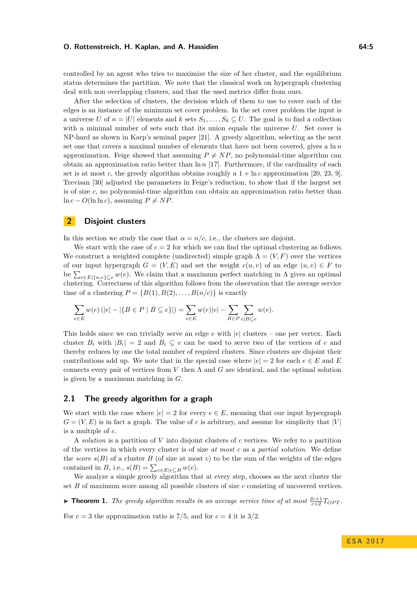controlled by an agent who tries to maximize the size of her cluster, and the equilibrium status determines the partition. We note that the classical work on hypergraph clustering deal with non overlapping clusters, and that the used metrics differ from ours.

After the selection of clusters, the decision which of them to use to cover each of the edges is an instance of the minimum set cover problem. In the set cover problem the input is a universe *U* of  $n = |U|$  elements and *k* sets  $S_1, \ldots, S_k \subseteq U$ . The goal is to find a collection with a minimal number of sets such that its union equals the universe *U*. Set cover is NP-hard as shown in Karp's seminal paper [\[21\]](#page-12-15). A greedy algorithm, selecting as the next set one that covers a maximal number of elements that have not been covered, gives a  $\ln n$ approximation. Feige showed that assuming  $P \neq NP$ , no polynomial-time algorithm can obtain an approximation ratio better than ln *n* [\[17\]](#page-12-16). Furthermore, if the cardinality of each set is at most *c*, the greedy algorithm obtains roughly a  $1 + \ln c$  approximation [\[20,](#page-12-17) [23,](#page-12-18) [9\]](#page-12-19). Trevisan [\[30\]](#page-13-9) adjusted the parameters in Feige's reduction, to show that if the largest set is of size *c*, no polynomial-time algorithm can obtain an approximation ratio better than ln *c* − *O*(ln ln *c*), assuming  $P ≠ NP$ .

# <span id="page-4-0"></span>**2 Disjoint clusters**

In this section we study the case that  $\alpha = n/c$ , i.e., the clusters are disjoint.

We start with the case of  $c = 2$  for which we can find the optimal clustering as follows. We construct a weighted complete (undirected) simple graph  $\Lambda = (V, F)$  over the vertices of our input hypergraph  $G = (V, E)$  and set the weight  $c(u, v)$  of an edge  $(u, v) \in F$  to be  $\sum_{e \in E | \{u, v\} \subseteq e} w(e)$ . We claim that a maximum perfect matching in  $\Lambda$  gives an optimal clustering. Correctness of this algorithm follows from the observation that the average service time of a clustering  $P = \{B(1), B(2), \ldots, B(n/c)\}\$ is exactly

$$
\sum_{e\in E} w(e)\left( |e| - |\{B \in P\mid B\subseteq e\}| \right) = \sum_{e\in E} w(e)|e| - \sum_{B\in P} \sum_{e|B\subseteq e} w(e).
$$

This holds since we can trivially serve an edge *e* with |*e*| clusters – one per vertex. Each cluster  $B_i$  with  $|B_i| = 2$  and  $B_i \subseteq e$  can be used to serve two of the vertices of *e* and thereby reduces by one the total number of required clusters. Since clusters are disjoint their contributions add up. We note that in the special case where  $|e|=2$  for each  $e \in E$  and E connects every pair of vertices from *V* then Λ and *G* are identical, and the optimal solution is given by a maximum matching in *G*.

# <span id="page-4-1"></span>**2.1 The greedy algorithm for a graph**

We start with the case where  $|e|=2$  for every  $e\in E$ , meaning that our input hypergraph  $G = (V, E)$  is in fact a graph. The value of *c* is arbitrary, and assume for simplicity that |*V*| is a multiple of *c*.

A *solution* is a partition of *V* into disjoint clusters of *c* vertices. We refer to a partition of the vertices in which every cluster is of size *at most c* as a *partial solution*. We define the *score*  $s(B)$  of a cluster *B* (of size at most *c*) to be the sum of the weights of the edges contained in *B*, i.e.,  $s(B) = \sum_{e \in E} \sum_{e \subseteq B} w(e)$ .

We analyze a simple greedy algorithm that at every step, chooses as the next cluster the set *B* of maximum score among all possible clusters of size *c* consisting of uncovered vertices.

<span id="page-4-2"></span>**Find 1.** *The greedy algorithm results in an average service time of at most*  $\frac{2c+1}{c+2}T_{OPT}$ .

For  $c = 3$  the approximation ratio is 7/5, and for  $c = 4$  it is 3/2.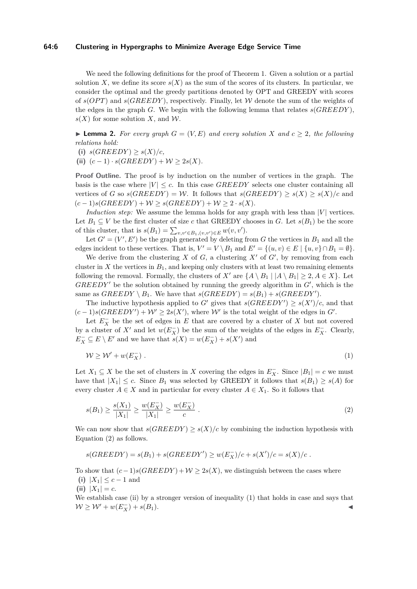## **64:6 Clustering in Hypergraphs to Minimize Average Edge Service Time**

We need the following definitions for the proof of Theorem [1.](#page-4-2) Given a solution or a partial solution *X*, we define its score  $s(X)$  as the sum of the scores of its clusters. In particular, we consider the optimal and the greedy partitions denoted by OPT and GREEDY with scores of  $s(OPT)$  and  $s(GREEDY)$ , respectively. Finally, let W denote the sum of the weights of the edges in the graph *G*. We begin with the following lemma that relates  $s(GREEDY)$ ,  $s(X)$  for some solution *X*, and *W*.

<span id="page-5-2"></span>▶ **Lemma 2.** *For every graph*  $G = (V, E)$  *and every solution X and*  $c ≥ 2$ *, the following relations hold:*

- (i)  $s(GREEDY) \geq s(X)/c$ ,
- (ii)  $(c-1) \cdot s(GREEDY) + W \geq 2s(X)$ .

**Proof Outline.** The proof is by induction on the number of vertices in the graph. The basis is the case where  $|V| \leq c$ . In this case *GREEDY* selects one cluster containing all vertices of *G* so  $s(GREEDY) = W$ . It follows that  $s(GREEDY) > s(X) > s(X)/c$  and  $(c-1)s(GREEDY) + W > s(GREEDY) + W > 2 \cdot s(X).$ 

*Induction step:* We assume the lemma holds for any graph with less than  $|V|$  vertices. Let  $B_1 \subset V$  be the first cluster of size *c* that GREEDY chooses in *G*. Let  $s(B_1)$  be the score of this cluster, that is  $s(B_1) = \sum_{v,v' \in B_1, (v,v') \in E} w(v,v')$ .

Let  $G' = (V', E')$  be the graph generated by deleting from *G* the vertices in  $B_1$  and all the edges incident to these vertices. That is,  $V' = V \setminus B_1$  and  $E' = \{(u, v) \in E \mid \{u, v\} \cap B_1 = \emptyset\}.$ 

We derive from the clustering  $X$  of  $G$ , a clustering  $X'$  of  $G'$ , by removing from each cluster in *X* the vertices in  $B_1$ , and keeping only clusters with at least two remaining elements following the removal. Formally, the clusters of *X'* are  $\{A \setminus B_1 | A \setminus B_1 | \geq 2, A \in X\}$ . Let  $GREEDY'$  be the solution obtained by running the greedy algorithm in  $G'$ , which is the same as  $GREEDY \setminus B_1$ . We have that  $s(GREEDY) = s(B_1) + s(GREEDY')$ .

The inductive hypothesis applied to *G'* gives that  $s(GREEDY') \geq s(X')/c$ , and that  $(c-1)s(GREEDY') + W' \geq 2s(X')$ , where W' is the total weight of the edges in G'.

Let  $E_X^-$  be the set of edges in  $E$  that are covered by a cluster of  $X$  but not covered by a cluster of  $X'$  and let  $w(E_X^-)$  be the sum of the weights of the edges in  $E_X^-$ . Clearly,  $E_X^- \subseteq E \setminus E'$  and we have that  $s(X) = w(E_X^-) + s(X')$  and

<span id="page-5-1"></span>
$$
W \ge W' + w(E_X^-) \tag{1}
$$

Let  $X_1 \subseteq X$  be the set of clusters in *X* covering the edges in  $E_X^-$ . Since  $|B_1| = c$  we must have that  $|X_1| \leq c$ . Since  $B_1$  was selected by GREEDY it follows that  $s(B_1) \geq s(A)$  for every cluster  $A \in X$  and in particular for every cluster  $A \in X_1$ . So it follows that

<span id="page-5-0"></span>
$$
s(B_1) \ge \frac{s(X_1)}{|X_1|} \ge \frac{w(E_X^-)}{|X_1|} \ge \frac{w(E_X^-)}{c} \ . \tag{2}
$$

We can now show that  $s(GREEDY) \geq s(X)/c$  by combining the induction hypothesis with Equation [\(2\)](#page-5-0) as follows.

$$
s(GREEDY) = s(B_1) + s(GREEDY') \ge w(E_X^-)/c + s(X')/c = s(X)/c.
$$

To show that  $(c-1)s(GREEDY) + W \geq 2s(X)$ , we distinguish between the cases where (i)  $|X_1| \leq c - 1$  and

(ii)  $|X_1| = c$ .

We establish case (ii) by a stronger version of inequality [\(1\)](#page-5-1) that holds in case and says that  $W ≥ W' + w(E_X^-) + s(B_1).$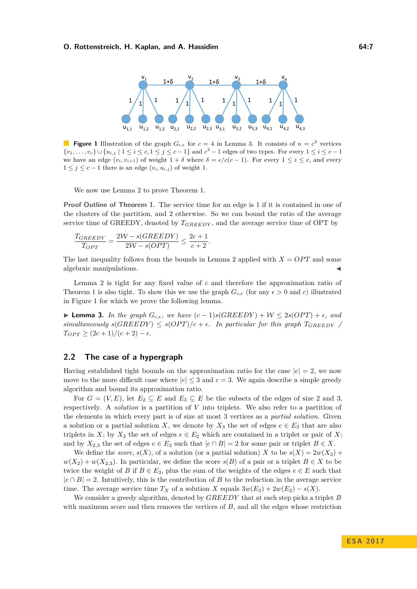<span id="page-6-2"></span>

**Figure 1** Illustration of the graph  $G_{c,\epsilon}$  for  $c = 4$  in Lemma [3.](#page-6-1) It consists of  $n = c^2$  vertices { $v_1, \ldots, v_c$ } ∪ { $u_{i,j}$  | 1 ≤  $i$  ≤  $c$ , 1 ≤  $j$  ≤  $c$  − 1} and  $c^2$  − 1 edges of two types. For every 1 ≤  $i$  ≤  $c$  − 1 we have an edge  $(v_i, v_{i+1})$  of weight  $1 + \delta$  where  $\delta = \epsilon/c(c-1)$ . For every  $1 \le i \le c$ , and every 1 ≤  $j$  ≤  $c$  − 1 there is an edge  $(v_i, u_{i,j})$  of weight 1.

We now use Lemma [2](#page-5-2) to prove Theorem [1.](#page-4-2)

**Proof Outline of Theorem [1.](#page-4-2)** The service time for an edge is 1 if it is contained in one of the clusters of the partition, and 2 otherwise. So we can bound the ratio of the average service time of GREEDY, denoted by *TGREEDY* , and the average service time of OPT by

$$
\frac{T_{GREEDY}}{T_{OPT}} = \frac{2W - s(GREEDY)}{2W - s(OPT)} \le \frac{2c + 1}{c + 2}.
$$

The last inequality follows from the bounds in Lemma [2](#page-5-2) applied with  $X = OPT$  and some algebraic manipulations.

Lemma [2](#page-5-2) is tight for any fixed value of *c* and therefore the approximation ratio of Theorem [1](#page-4-2) is also tight. To show this we use the graph  $G_{c,\epsilon}$  (for any  $\epsilon > 0$  and *c*) illustrated in Figure [1](#page-6-2) for which we prove the following lemma.

<span id="page-6-1"></span>**► Lemma 3.** In the graph  $G_{c,\epsilon}$ , we have  $(c-1)s(GREEDY) + W \leq 2s(OPT) + \epsilon$ , and  $s$ *simultaneously*  $s(GREEDY) \leq s(OPT)/c + \epsilon$ . In particular for this graph  $T_{GREEDY}$  $T_{OPT} \geq (2c+1)/(c+2) - \epsilon.$ 

# <span id="page-6-0"></span>**2.2 The case of a hypergraph**

Having established tight bounds on the approximation ratio for the case  $|e| = 2$ , we now move to the more difficult case where  $|e| \leq 3$  and  $c = 3$ . We again describe a simple greedy algorithm and bound its approximation ratio.

For  $G = (V, E)$ , let  $E_2 \subseteq E$  and  $E_3 \subseteq E$  be the subsets of the edges of size 2 and 3, respectively. A *solution* is a partition of *V* into triplets. We also refer to a partition of the elements in which every part is of size at most 3 vertices as a *partial solution*. Given a solution or a partial solution *X*, we denote by  $X_3$  the set of edges  $e \in E_3$  that are also triplets in *X*; by  $X_2$  the set of edges  $e \in E_2$  which are contained in a triplet or pair of *X*; and by  $X_{2,3}$  the set of edges  $e \in E_3$  such that  $|e \cap B| = 2$  for some pair or triplet  $B \in X$ .

We define the *score*,  $s(X)$ , of a solution (or a partial solution) X to be  $s(X) = 2w(X_3) +$  $w(X_2) + w(X_{2,3})$ . In particular, we define the score *s*(*B*) of a pair or a triplet  $B \in X$  to be twice the weight of *B* if  $B \in E_3$ , plus the sum of the weights of the edges  $e \in E$  such that  $|e \cap B| = 2$ . Intuitively, this is the contribution of *B* to the reduction in the average service time. The average service time  $T_X$  of a solution *X* equals  $3w(E_3) + 2w(E_2) - s(X)$ .

We consider a greedy algorithm, denoted by *GREEDY* that at each step picks a triplet *B* with maximum score and then removes the vertices of *B*, and all the edges whose restriction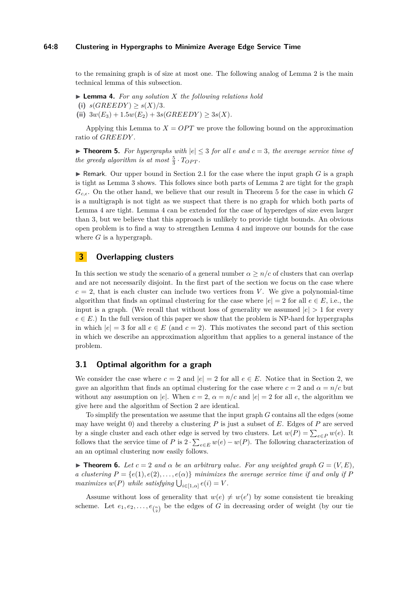## **64:8 Clustering in Hypergraphs to Minimize Average Edge Service Time**

to the remaining graph is of size at most one. The following analog of Lemma [2](#page-5-2) is the main technical lemma of this subsection.

- <span id="page-7-2"></span>I **Lemma 4.** *For any solution X the following relations hold* (i)  $s(GREEDY) > s(X)/3$ .
- (ii)  $3w(E_3) + 1.5w(E_2) + 3s(GREEDY) \geq 3s(X)$ .

Applying this Lemma to  $X = OPT$  we prove the following bound on the approximation ratio of *GREEDY* .

<span id="page-7-1"></span>▶ **Theorem 5.** For hypergraphs with  $|e| ≤ 3$  for all  $e$  and  $c = 3$ , the average service time of *the greedy algorithm is at most*  $\frac{5}{3} \cdot T_{OPT}$ .

**In Remark.** Our upper bound in Section [2.1](#page-4-1) for the case where the input graph  $G$  is a graph is tight as Lemma [3](#page-6-1) shows. This follows since both parts of Lemma [2](#page-5-2) are tight for the graph  $G_{c,\epsilon}$ . On the other hand, we believe that our result in Theorem [5](#page-7-1) for the case in which *G* is a multigraph is not tight as we suspect that there is no graph for which both parts of Lemma [4](#page-7-2) are tight. Lemma [4](#page-7-2) can be extended for the case of hyperedges of size even larger than 3, but we believe that this approach is unlikely to provide tight bounds. An obvious open problem is to find a way to strengthen Lemma [4](#page-7-2) and improve our bounds for the case where *G* is a hypergraph.

# **3 Overlapping clusters**

In this section we study the scenario of a general number  $\alpha \geq n/c$  of clusters that can overlap and are not necessarily disjoint. In the first part of the section we focus on the case where  $c = 2$ , that is each cluster can include two vertices from *V*. We give a polynomial-time algorithm that finds an optimal clustering for the case where  $|e| = 2$  for all  $e \in E$ , i.e., the input is a graph. (We recall that without loss of generality we assumed  $|e| > 1$  for every  $e \in E$ .) In the full version of this paper we show that the problem is NP-hard for hypergraphs in which  $|e| = 3$  for all  $e \in E$  (and  $c = 2$ ). This motivates the second part of this section in which we describe an approximation algorithm that applies to a general instance of the problem.

# <span id="page-7-0"></span>**3.1 Optimal algorithm for a graph**

We consider the case where  $c = 2$  and  $|e| = 2$  for all  $e \in E$ . Notice that in Section [2,](#page-4-0) we gave an algorithm that finds an optimal clustering for the case where  $c = 2$  and  $\alpha = n/c$  but without any assumption on |*e*|. When  $c = 2$ ,  $\alpha = n/c$  and  $|e| = 2$  for all *e*, the algorithm we give here and the algorithm of Section [2](#page-4-0) are identical.

To simplify the presentation we assume that the input graph *G* contains all the edges (some may have weight 0) and thereby a clustering *P* is just a subset of *E*. Edges of *P* are served by a single cluster and each other edge is served by two clusters. Let  $w(P) = \sum_{e \in P} w(e)$ . It follows that the service time of *P* is  $2 \cdot \sum_{e \in E} w(e) - w(P)$ . The following characterization of an an optimal clustering now easily follows.

<span id="page-7-3"></span>**Figure 1. Figure 1.** *Component <b>6. Let*  $c = 2$  *and*  $\alpha$  *be an arbitrary value. For any weighted graph*  $G = (V, E)$ , *a clustering*  $P = \{e(1), e(2), \ldots, e(\alpha)\}$  *minimizes the average service time if and only if*  $P$ *maximizes*  $w(P)$  *while satisfying*  $\bigcup_{i \in [1,\alpha]} e(i) = V$ *.* 

Assume without loss of generality that  $w(e) \neq w(e')$  by some consistent tie breaking scheme. Let  $e_1, e_2, \ldots, e_{\binom{n}{2}}$  be the edges of *G* in decreasing order of weight (by our tie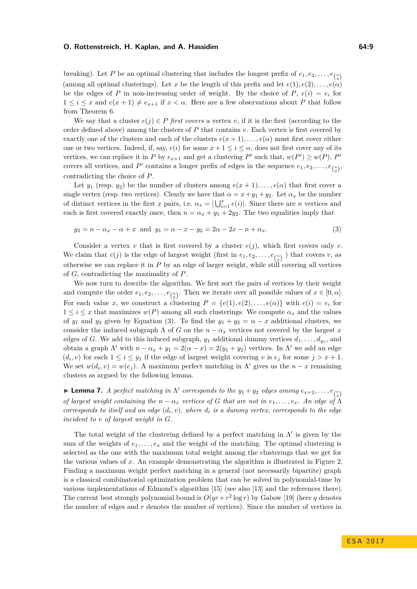breaking). Let P be an optimal clustering that includes the longest prefix of  $e_1, e_2, \ldots, e_{\binom{n}{2}}$ (among all optimal clusterings). Let *x* be the length of this prefix and let  $e(1), e(2), \ldots, e(\alpha)$ be the edges of *P* in non-increasing order of weight. By the choice of  $P$ ,  $e(i) = e_i$  for  $1 \leq i \leq x$  and  $e(x+1) \neq e_{x+1}$  if  $x < \alpha$ . Here are a few observations about P that follow from Theorem [6.](#page-7-3)

We say that a cluster  $e(j) \in P$  *first covers* a vertex *v*, if it is the first (according to the order defined above) among the clusters of *P* that contains *v*. Each vertex is first covered by exactly one of the clusters and each of the clusters  $e(x+1), \ldots, e(\alpha)$  must first cover either one or two vertices. Indeed, if, say,  $e(i)$  for some  $x + 1 \leq i \leq \alpha$ , does not first cover any of its vertices, we can replace it in *P* by  $e_{x+1}$  and get a clustering *P*' such that,  $w(P') \geq w(P)$ , *P*' covers all vertices, and *P*<sup> $\prime$ </sup> contains a longer prefix of edges in the sequence  $e_1, e_2, \ldots, e_{\binom{n}{2}}$ , contradicting the choice of *P*.

Let  $y_1$  (resp.  $y_2$ ) be the number of clusters among  $e(x + 1), \ldots, e(\alpha)$  that first cover a single vertex (resp. two vertices). Clearly we have that  $\alpha = x + y_1 + y_2$ . Let  $\alpha_x$  be the number of distinct vertices in the first *x* pairs, i.e.  $\alpha_x = |\bigcup_{i=1}^x e(i)|$ . Since there are *n* vertices and each is first covered exactly once, then  $n = \alpha_x + y_1 + 2y_2$ . The two equalities imply that

<span id="page-8-0"></span>
$$
y_2 = n - \alpha_x - \alpha + x
$$
 and  $y_1 = \alpha - x - y_2 = 2\alpha - 2x - n + \alpha_x$ . (3)

Consider a vertex  $v$  that is first covered by a cluster  $e(j)$ , which first covers only  $v$ . We claim that  $e(j)$  is the edge of largest weight (first in  $e_1, e_2, \ldots, e_{\binom{n}{2}}$ ) that covers *v*, as otherwise we can replace it in *P* by an edge of larger weight, while still covering all vertices of *G*, contradicting the maximality of *P*.

We now turn to describe the algorithm. We first sort the pairs of vertices by their weight and compute the order  $e_1, e_2, \ldots, e_{\binom{n}{2}}$ . Then we iterate over all possible values of  $x \in [0, \alpha]$ . For each value *x*, we construct a clustering  $P = \{e(1), e(2), \ldots, e(\alpha)\}\$  with  $e(i) = e_i$  for  $1 \leq i \leq x$  that maximizes  $w(P)$  among all such clusterings. We compute  $\alpha_x$  and the values of  $y_1$  and  $y_2$  given by Equation [\(3\)](#page-8-0). To find the  $y_1 + y_2 = \alpha - x$  additional clusters, we consider the induced subgraph  $\Lambda$  of *G* on the  $n - \alpha_x$  vertices not covered by the largest *x* edges of *G*. We add to this induced subgraph,  $y_1$  additional dummy vertices  $d_1, \ldots, d_{y_1}$ , and obtain a graph  $\Lambda'$  with  $n - \alpha_x + y_1 = 2(\alpha - x) = 2(y_1 + y_2)$  vertices. In  $\Lambda'$  we add an edge  $(d_i, v)$  for each  $1 \leq i \leq y_1$  if the edge of largest weight covering *v* is  $e_j$  for some  $j > x + 1$ . We set  $w(d_i, v) = w(e_j)$ . A maximum perfect matching in  $\Lambda'$  gives us the  $n - x$  remaining clusters as argued by the following lemma.

**Lemma 7.** *A perfect matching in*  $\Lambda'$  corresponds to the  $y_1 + y_2$  edges among  $e_{x+2}, \ldots, e_{\binom{n}{2}}$ *of largest weight containing the*  $n - \alpha_x$  *vertices of G that are not in*  $e_1, \ldots, e_x$ *. An edge of*  $\tilde{\Lambda}$ *corresponds to itself and an edge*  $(d_i, v)$ *, where*  $d_i$  *is a dummy vertex, corresponds to the edge incident to v of largest weight in G.*

The total weight of the clustering defined by a perfect matching in  $\Lambda'$  is given by the sum of the weights of  $e_1, \ldots, e_x$  and the weight of the matching. The optimal clustering is selected as the one with the maximum total weight among the clusterings that we get for the various values of *x*. An example demonstrating the algorithm is illustrated in Figure [2.](#page-9-1) Finding a maximum weight perfect matching in a general (not necessarily bipartite) graph is a classical combinatorial optimization problem that can be solved in polynomial-time by various implementations of Edmond's algorithm [\[15\]](#page-12-20) (see also [\[13\]](#page-12-21) and the references there). The current best strongly polynomial bound is  $O(qr + r^2 \log r)$  by Gabow [\[19\]](#page-12-22) (here *q* denotes the number of edges and *r* denotes the number of vertices). Since the number of vertices in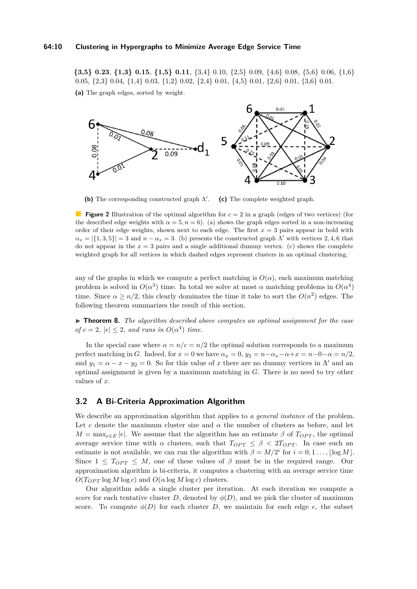#### **64:10 Clustering in Hypergraphs to Minimize Average Edge Service Time**

<span id="page-9-1"></span>**{3,5} 0.23**, **{1,3} 0.15**, **{1,5} 0.11**, {3,4} 0.10, {2,5} 0.09, {4,6} 0.08, {5,6} 0.06, {1,6} 0.05, {2,3} 0.04, {1,4} 0.03, {1,2} 0.02, {2,4} 0.01, {4,5} 0.01, {2,6} 0.01, {3,6} 0.01.

**(a)** The graph edges, sorted by weight.



(b) The corresponding constructed graph  $\Lambda'$ . **(c)** The complete weighted graph.

**Figure 2** Illustration of the optimal algorithm for  $c = 2$  in a graph (edges of two vertices) (for the described edge weights with  $\alpha = 5$ ,  $n = 6$ ). (a) shows the graph edges sorted in a non-increasing order of their edge weights, shown next to each edge. The first *x* = 3 pairs appear in bold with  $a_x = |\{1, 3, 5\}| = 3$  and  $n - \alpha_x = 3$ . (b) presents the constructed graph Λ' with vertices 2*,* 4*,* 6 that do not appear in the  $x = 3$  pairs and a single additional dummy vertex. (c) shows the complete weighted graph for all vertices in which dashed edges represent clusters in an optimal clustering.

any of the graphs in which we compute a perfect matching is  $O(\alpha)$ , each maximum matching problem is solved in  $O(\alpha^3)$  time. In total we solve at most  $\alpha$  matching problems in  $O(\alpha^4)$ time. Since  $\alpha \geq n/2$ , this clearly dominates the time it take to sort the  $O(n^2)$  edges. The following theorem summarizes the result of this section.

► **Theorem 8.** *The algorithm described above computes an optimal assignment for the case of*  $c = 2$ ,  $|e| \leq 2$ , and runs in  $O(\alpha^4)$  time.

In the special case where  $\alpha = n/c = n/2$  the optimal solution corresponds to a maximum perfect matching in *G*. Indeed, for  $x = 0$  we have  $\alpha_x = 0$ ,  $y_2 = n - \alpha_x - \alpha + x = n - 0 - \alpha = n/2$ , and  $y_1 = \alpha - x - y_2 = 0$ . So for this value of *x* there are no dummy vertices in  $\Lambda'$  and an optimal assignment is given by a maximum matching in *G*. There is no need to try other values of *x*.

# <span id="page-9-0"></span>**3.2 A Bi-Criteria Approximation Algorithm**

We describe an approximation algorithm that applies to *a general instance* of the problem. Let c denote the maximum cluster size and  $\alpha$  the number of clusters as before, and let  $M = \max_{e \in E} |e|$ . We assume that the algorithm has an estimate  $\beta$  of  $T_{OPT}$ , the optimal average service time with  $\alpha$  clusters, such that  $T_{OPT} \leq \beta < 2T_{OPT}$ . In case such an estimate is not available, we can run the algorithm with  $\beta = M/2^i$  for  $i = 0, 1, \ldots, \lfloor \log M \rfloor$ . Since  $1 \leq T_{OPT} \leq M$ , one of these values of  $\beta$  must be in the required range. Our approximation algorithm is bi-criteria, it computes a clustering with an average service time  $O(T_{OPT} \log M \log c)$  and  $O(\alpha \log M \log c)$  clusters.

Our algorithm adds a single cluster per iteration. At each iteration we compute a *score* for each tentative cluster *D*, denoted by  $\phi(D)$ , and we pick the cluster of maximum score. To compute  $\phi(D)$  for each cluster *D*, we maintain for each edge *e*, the subset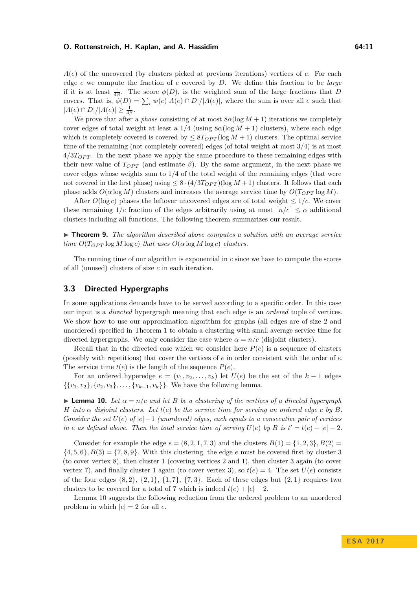*A*(*e*) of the uncovered (by clusters picked at previous iterations) vertices of *e*. For each edge *e* we compute the fraction of *e* covered by *D*. We define this fraction to be *large* if it is at least  $\frac{1}{4\beta}$ . The score  $\phi(D)$ , is the weighted sum of the large fractions that *D* covers. That is,  $\phi(D) = \sum_{e} w(e) |A(e) \cap D| / |A(e)|$ , where the sum is over all *e* such that  $|A(e) \cap D| / |A(e)| \geq \frac{1}{4\beta}.$ 

We prove that after a *phase* consisting of at most  $8\alpha(\log M + 1)$  iterations we completely cover edges of total weight at least a  $1/4$  (using  $8\alpha(\log M + 1)$  clusters), where each edge which is completely covered is covered by  $\leq 8T_{OPT}(\log M + 1)$  clusters. The optimal service time of the remaining (not completely covered) edges (of total weight at most 3*/*4) is at most  $4/3T_{OPT}$ . In the next phase we apply the same procedure to these remaining edges with their new value of  $T_{OPT}$  (and estimate  $\beta$ ). By the same argument, in the next phase we cover edges whose weights sum to 1*/*4 of the total weight of the remaining edges (that were not covered in the first phase) using  $\leq 8 \cdot (4/3T_{OPT})(\log M + 1)$  clusters. It follows that each phase adds  $O(\alpha \log M)$  clusters and increases the average service time by  $O(T_{OPT} \log M)$ .

After  $O(\log c)$  phases the leftover uncovered edges are of total weight  $\leq 1/c$ . We cover these remaining  $1/c$  fraction of the edges arbitrarily using at most  $n/c \leq \alpha$  additional clusters including all functions. The following theorem summarizes our result.

I **Theorem 9.** *The algorithm described above computes a solution with an average service time*  $O(T_{OPT} \log M \log c)$  *that uses*  $O(\alpha \log M \log c)$  *clusters.* 

The running time of our algorithm is exponential in *c* since we have to compute the scores of all (unused) clusters of size *c* in each iteration.

# <span id="page-10-0"></span>**3.3 Directed Hypergraphs**

In some applications demands have to be served according to a specific order. In this case our input is a *directed* hypergraph meaning that each edge is an *ordered* tuple of vertices. We show how to use our approximation algorithm for graphs (all edges are of size 2 and unordered) specified in Theorem [1](#page-4-2) to obtain a clustering with small average service time for directed hypergraphs. We only consider the case where  $\alpha = n/c$  (disjoint clusters).

Recall that in the directed case which we consider here  $P(e)$  is a sequence of clusters (possibly with repetitions) that cover the vertices of *e* in order consistent with the order of *e*. The service time  $t(e)$  is the length of the sequence  $P(e)$ .

For an ordered hyperedge  $e = (v_1, v_2, \ldots, v_k)$  let  $U(e)$  be the set of the  $k-1$  edges  $\{\{v_1, v_2\}, \{v_2, v_3\}, \ldots, \{v_{k-1}, v_k\}\}.$  We have the following lemma.

<span id="page-10-1"></span>**Lemma 10.** Let  $\alpha = n/c$  and let B be a clustering of the vertices of a directed hypergraph *H into α disjoint clusters. Let t*(*e*) *be the service time for serving an ordered edge e by B. Consider the set*  $U(e)$  *of*  $|e| - 1$  *(unordered) edges, each equals to a consecutive pair of vertices in e* as defined above. Then the total service time of serving  $U(e)$  by  $B$  is  $t' = t(e) + |e| - 2$ .

Consider for example the edge  $e = (8, 2, 1, 7, 3)$  and the clusters  $B(1) = \{1, 2, 3\}, B(2) =$  $\{4, 5, 6\}, B(3) = \{7, 8, 9\}.$  With this clustering, the edge *e* must be covered first by cluster 3 (to cover vertex 8), then cluster 1 (covering vertices 2 and 1), then cluster 3 again (to cover vertex 7), and finally cluster 1 again (to cover vertex 3), so  $t(e) = 4$ . The set  $U(e)$  consists of the four edges  $\{8, 2\}, \{2, 1\}, \{1, 7\}, \{7, 3\}.$  Each of these edges but  $\{2, 1\}$  requires two clusters to be covered for a total of 7 which is indeed  $t(e) + |e| - 2$ .

Lemma [10](#page-10-1) suggests the following reduction from the ordered problem to an unordered problem in which  $|e| = 2$  for all *e*.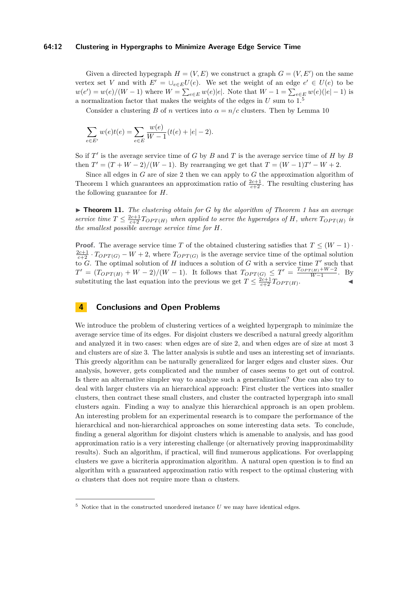### **64:12 Clustering in Hypergraphs to Minimize Average Edge Service Time**

Given a directed hypegraph  $H = (V, E)$  we construct a graph  $G = (V, E')$  on the same vertex set *V* and with  $E' = \bigcup_{e \in E} U(e)$ . We set the weight of an edge  $e' \in U(e)$  to be  $w(e') = w(e)/(W - 1)$  where  $W = \sum_{e \in E} w(e)|e|$ . Note that  $W - 1 = \sum_{e \in E} w(e)(|e| - 1)$  is a normalization factor that makes the weights of the edges in  $U$  sum to  $1<sup>5</sup>$  $1<sup>5</sup>$  $1<sup>5</sup>$ 

Consider a clustering *B* of *n* vertices into  $\alpha = n/c$  clusters. Then by Lemma [10](#page-10-1)

$$
\sum_{e \in E'} w(e)t(e) = \sum_{e \in E} \frac{w(e)}{W - 1}(t(e) + |e| - 2).
$$

So if  $T'$  is the average service time of  $G$  by  $B$  and  $T$  is the average service time of  $H$  by  $B$ then  $T' = (T + W - 2)/(W - 1)$ . By rearranging we get that  $T = (W - 1)T' - W + 2$ .

Since all edges in *G* are of size 2 then we can apply to *G* the approximation algorithm of Theorem [1](#page-4-2) which guarantees an approximation ratio of  $\frac{2c+1}{c+2}$ . The resulting clustering has the following guarantee for *H*.

▶ **Theorem [1](#page-4-2)1.** *The clustering obtain for G by the algorithm of Theorem 1 has an average service time*  $T \leq \frac{2c+1}{c+2} T_{OPT(H)}$  *when applied to serve the hyperedges of H, where*  $T_{OPT(H)}$  *is the smallest possible average service time for H.*

**Proof.** The average service time *T* of the obtained clustering satisfies that  $T \leq (W - 1)$ .  $\frac{2c+1}{c+2} \cdot T_{OPT(G)} - W + 2$ , where  $T_{OPT(G)}$  is the average service time of the optimal solution to  $G$ . The optimal solution of  $H$  induces a solution of  $G$  with a service time  $T'$  such that  $T' = (T_{OPT(H)} + W - 2)/(W - 1)$ . It follows that  $T_{OPT(G)} \leq T' = \frac{T_{OPT(H)} + W - 2}{W - 1}$  $\frac{W(H) + W - 2}{W - 1}$ . By substituting the last equation into the previous we get  $T \leq \frac{2c+1}{c+2} T_{OPT(H)}$ .

# **4 Conclusions and Open Problems**

We introduce the problem of clustering vertices of a weighted hypergraph to minimize the average service time of its edges. For disjoint clusters we described a natural greedy algorithm and analyzed it in two cases: when edges are of size 2, and when edges are of size at most 3 and clusters are of size 3. The latter analysis is subtle and uses an interesting set of invariants. This greedy algorithm can be naturally generalized for larger edges and cluster sizes. Our analysis, however, gets complicated and the number of cases seems to get out of control. Is there an alternative simpler way to analyze such a generalization? One can also try to deal with larger clusters via an hierarchical approach: First cluster the vertices into smaller clusters, then contract these small clusters, and cluster the contracted hypergraph into small clusters again. Finding a way to analyze this hierarchical approach is an open problem. An interesting problem for an experimental research is to compare the performance of the hierarchical and non-hierarchical approaches on some interesting data sets. To conclude, finding a general algorithm for disjoint clusters which is amenable to analysis, and has good approximation ratio is a very interesting challenge (or alternatively proving inapproximability results). Such an algorithm, if practical, will find numerous applications. For overlapping clusters we gave a bicriteria approximation algorithm. A natural open question is to find an algorithm with a guaranteed approximation ratio with respect to the optimal clustering with *α* clusters that does not require more than *α* clusters.

<span id="page-11-0"></span> $5$  Notice that in the constructed unordered instance  $U$  we may have identical edges.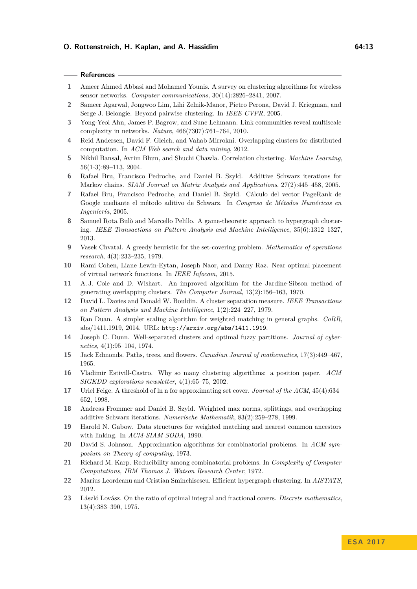- <span id="page-12-9"></span>**1** Ameer Ahmed Abbasi and Mohamed Younis. A survey on clustering algorithms for wireless sensor networks. *Computer communications*, 30(14):2826–2841, 2007.
- <span id="page-12-12"></span>**2** Sameer Agarwal, Jongwoo Lim, Lihi Zelnik-Manor, Pietro Perona, David J. Kriegman, and Serge J. Belongie. Beyond pairwise clustering. In *IEEE CVPR*, 2005.
- <span id="page-12-8"></span>**3** Yong-Yeol Ahn, James P. Bagrow, and Sune Lehmann. Link communities reveal multiscale complexity in networks. *Nature*, 466(7307):761–764, 2010.
- <span id="page-12-11"></span>**4** Reid Andersen, David F. Gleich, and Vahab Mirrokni. Overlapping clusters for distributed computation. In *ACM Web search and data mining*, 2012.
- <span id="page-12-4"></span>**5** Nikhil Bansal, Avrim Blum, and Shuchi Chawla. Correlation clustering. *Machine Learning*, 56(1-3):89–113, 2004.
- <span id="page-12-6"></span>**6** Rafael Bru, Francisco Pedroche, and Daniel B. Szyld. Additive Schwarz iterations for Markov chains. *SIAM Journal on Matrix Analysis and Applications*, 27(2):445–458, 2005.
- <span id="page-12-10"></span>**7** Rafael Bru, Francisco Pedroche, and Daniel B. Szyld. Cálculo del vector PageRank de Google mediante el método aditivo de Schwarz. In *Congreso de Métodos Numéricos en Ingeniería*, 2005.
- <span id="page-12-14"></span>**8** Samuel Rota Bulò and Marcello Pelillo. A game-theoretic approach to hypergraph clustering. *IEEE Transactions on Pattern Analysis and Machine Intelligence*, 35(6):1312–1327, 2013.
- <span id="page-12-19"></span>**9** Vasek Chvatal. A greedy heuristic for the set-covering problem. *Mathematics of operations research*, 4(3):233–235, 1979.
- <span id="page-12-0"></span>**10** Rami Cohen, Liane Lewin-Eytan, Joseph Naor, and Danny Raz. Near optimal placement of virtual network functions. In *IEEE Infocom*, 2015.
- <span id="page-12-5"></span>**11** A. J. Cole and D. Wishart. An improved algorithm for the Jardine-Sibson method of generating overlapping clusters. *The Computer Journal*, 13(2):156–163, 1970.
- <span id="page-12-2"></span>**12** David L. Davies and Donald W. Bouldin. A cluster separation measure. *IEEE Transactions on Pattern Analysis and Machine Intelligence*, 1(2):224–227, 1979.
- <span id="page-12-21"></span>**13** Ran Duan. A simpler scaling algorithm for weighted matching in general graphs. *CoRR*, abs/1411.1919, 2014. URL: <http://arxiv.org/abs/1411.1919>.
- <span id="page-12-3"></span>**14** Joseph C. Dunn. Well-separated clusters and optimal fuzzy partitions. *Journal of cybernetics*, 4(1):95–104, 1974.
- <span id="page-12-20"></span>**15** Jack Edmonds. Paths, trees, and flowers. *Canadian Journal of mathematics*, 17(3):449–467, 1965.
- <span id="page-12-1"></span>**16** Vladimir Estivill-Castro. Why so many clustering algorithms: a position paper. *ACM SIGKDD explorations newsletter*, 4(1):65–75, 2002.
- <span id="page-12-16"></span>**17** Uriel Feige. A threshold of ln n for approximating set cover. *Journal of the ACM*, 45(4):634– 652, 1998.
- <span id="page-12-7"></span>**18** Andreas Frommer and Daniel B. Szyld. Weighted max norms, splittings, and overlapping additive Schwarz iterations. *Numerische Mathematik*, 83(2):259–278, 1999.
- <span id="page-12-22"></span>**19** Harold N. Gabow. Data structures for weighted matching and nearest common ancestors with linking. In *ACM-SIAM SODA*, 1990.
- <span id="page-12-17"></span>**20** David S. Johnson. Approximation algorithms for combinatorial problems. In *ACM symposium on Theory of computing*, 1973.
- <span id="page-12-15"></span>**21** Richard M. Karp. Reducibility among combinatorial problems. In *Complexity of Computer Computations, IBM Thomas J. Watson Research Center*, 1972.
- <span id="page-12-13"></span>**22** Marius Leordeanu and Cristian Sminchisescu. Efficient hypergraph clustering. In *AISTATS*, 2012.
- <span id="page-12-18"></span>**23** László Lovász. On the ratio of optimal integral and fractional covers. *Discrete mathematics*, 13(4):383–390, 1975.